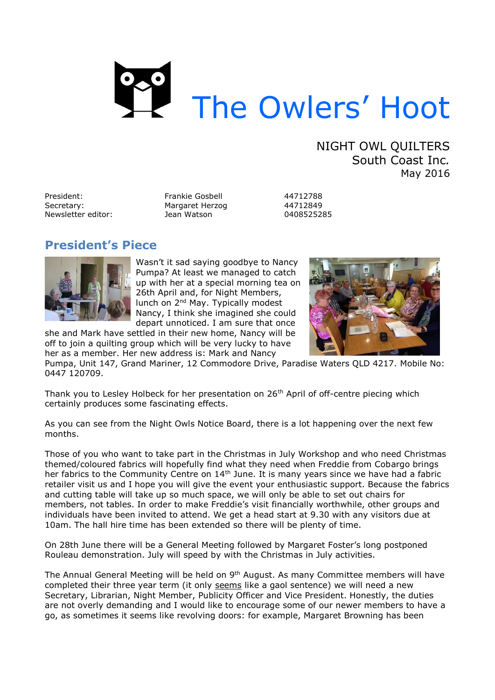

NIGHT OWL QUILTERS South Coast Inc*.* May 2016

President: Frankie Gosbell 44712788 Secretary: Margaret Herzog (44712849)<br>Newsletter editor: (1980) Jean Watson (198525285) Newsletter editor: Jean Watson

# **President's Piece**



Wasn't it sad saying goodbye to Nancy Pumpa? At least we managed to catch up with her at a special morning tea on 26th April and, for Night Members, lunch on 2<sup>nd</sup> May. Typically modest Nancy, I think she imagined she could depart unnoticed. I am sure that once

she and Mark have settled in their new home, Nancy will be off to join a quilting group which will be very lucky to have her as a member. Her new address is: Mark and Nancy



Pumpa, Unit 147, Grand Mariner, 12 Commodore Drive, Paradise Waters QLD 4217. Mobile No: 0447 120709.

Thank you to Lesley Holbeck for her presentation on 26<sup>th</sup> April of off-centre piecing which certainly produces some fascinating effects.

As you can see from the Night Owls Notice Board, there is a lot happening over the next few months.

Those of you who want to take part in the Christmas in July Workshop and who need Christmas themed/coloured fabrics will hopefully find what they need when Freddie from Cobargo brings her fabrics to the Community Centre on 14<sup>th</sup> June. It is many years since we have had a fabric retailer visit us and I hope you will give the event your enthusiastic support. Because the fabrics and cutting table will take up so much space, we will only be able to set out chairs for members, not tables. In order to make Freddie's visit financially worthwhile, other groups and individuals have been invited to attend. We get a head start at 9.30 with any visitors due at 10am. The hall hire time has been extended so there will be plenty of time.

On 28th June there will be a General Meeting followed by Margaret Foster's long postponed Rouleau demonstration. July will speed by with the Christmas in July activities.

The Annual General Meeting will be held on 9<sup>th</sup> August. As many Committee members will have completed their three year term (it only seems like a gaol sentence) we will need a new Secretary, Librarian, Night Member, Publicity Officer and Vice President. Honestly, the duties are not overly demanding and I would like to encourage some of our newer members to have a go, as sometimes it seems like revolving doors: for example, Margaret Browning has been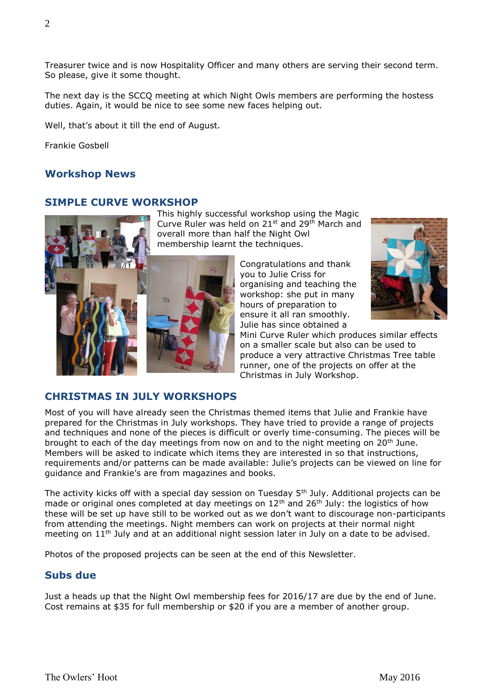Treasurer twice and is now Hospitality Officer and many others are serving their second term. So please, give it some thought.

The next day is the SCCQ meeting at which Night Owls members are performing the hostess duties. Again, it would be nice to see some new faces helping out.

Well, that's about it till the end of August.

Frankie Gosbell

## **Workshop News**

#### **SIMPLE CURVE WORKSHOP**



This highly successful workshop using the Magic Curve Ruler was held on 21<sup>st</sup> and 29<sup>th</sup> March and overall more than half the Night Owl membership learnt the techniques.

> Congratulations and thank you to Julie Criss for organising and teaching the workshop: she put in many hours of preparation to ensure it all ran smoothly. Julie has since obtained a



Mini Curve Ruler which produces similar effects on a smaller scale but also can be used to produce a very attractive Christmas Tree table runner, one of the projects on offer at the Christmas in July Workshop.

#### **CHRISTMAS IN JULY WORKSHOPS**

Most of you will have already seen the Christmas themed items that Julie and Frankie have prepared for the Christmas in July workshops. They have tried to provide a range of projects and techniques and none of the pieces is difficult or overly time-consuming. The pieces will be brought to each of the day meetings from now on and to the night meeting on 20th June. Members will be asked to indicate which items they are interested in so that instructions, requirements and/or patterns can be made available: Julie's projects can be viewed on line for guidance and Frankie's are from magazines and books.

The activity kicks off with a special day session on Tuesday 5<sup>th</sup> July. Additional projects can be made or original ones completed at day meetings on  $12<sup>th</sup>$  and  $26<sup>th</sup>$  July: the logistics of how these will be set up have still to be worked out as we don't want to discourage non-participants from attending the meetings. Night members can work on projects at their normal night meeting on 11<sup>th</sup> July and at an additional night session later in July on a date to be advised.

Photos of the proposed projects can be seen at the end of this Newsletter.

#### **Subs due**

Just a heads up that the Night Owl membership fees for 2016/17 are due by the end of June. Cost remains at \$35 for full membership or \$20 if you are a member of another group.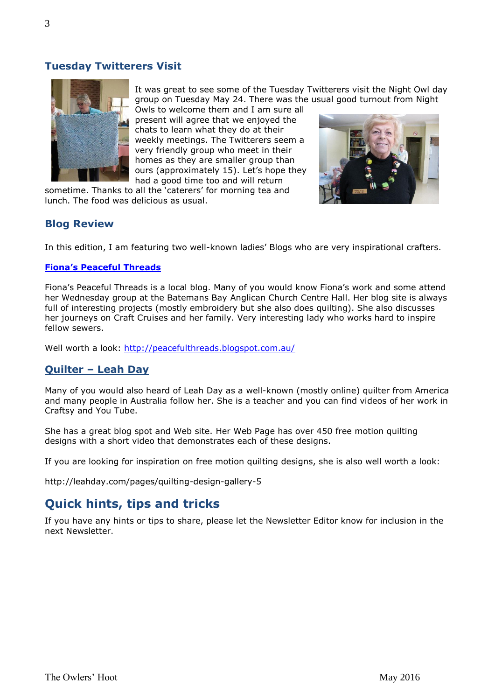# **Tuesday Twitterers Visit**



It was great to see some of the Tuesday Twitterers visit the Night Owl day group on Tuesday May 24. There was the usual good turnout from Night

Owls to welcome them and I am sure all present will agree that we enjoyed the chats to learn what they do at their weekly meetings. The Twitterers seem a very friendly group who meet in their homes as they are smaller group than ours (approximately 15). Let's hope they had a good time too and will return

sometime. Thanks to all the 'caterers' for morning tea and lunch. The food was delicious as usual.



## **Blog Review**

In this edition, I am featuring two well-known ladies' Blogs who are very inspirational crafters.

#### **[Fiona's Peaceful Threads](http://peacefulthreads.blogspot.com.au/)**

Fiona's Peaceful Threads is a local blog. Many of you would know Fiona's work and some attend her Wednesday group at the Batemans Bay Anglican Church Centre Hall. Her blog site is always full of interesting projects (mostly embroidery but she also does quilting). She also discusses her journeys on Craft Cruises and her family. Very interesting lady who works hard to inspire fellow sewers.

Well worth a look:<http://peacefulthreads.blogspot.com.au/>

## **Quilter – Leah Day**

Many of you would also heard of Leah Day as a well-known (mostly online) quilter from America and many people in Australia follow her. She is a teacher and you can find videos of her work in Craftsy and You Tube.

She has a great blog spot and Web site. Her Web Page has over 450 free motion quilting designs with a short video that demonstrates each of these designs.

If you are looking for inspiration on free motion quilting designs, she is also well worth a look:

http://leahday.com/pages/quilting-design-gallery-5

# **Quick hints, tips and tricks**

If you have any hints or tips to share, please let the Newsletter Editor know for inclusion in the next Newsletter.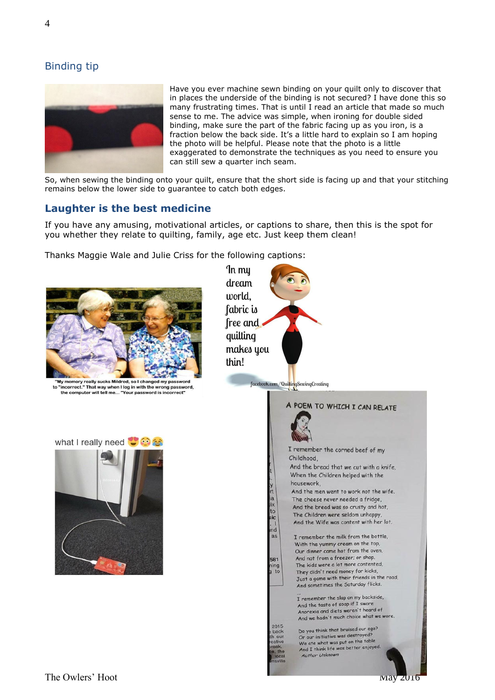

Have you ever machine sewn binding on your quilt only to discover that in places the underside of the binding is not secured? I have done this so many frustrating times. That is until I read an article that made so much sense to me. The advice was simple, when ironing for double sided binding, make sure the part of the fabric facing up as you iron, is a fraction below the back side. It's a little hard to explain so I am hoping the photo will be helpful. Please note that the photo is a little exaggerated to demonstrate the techniques as you need to ensure you can still sew a quarter inch seam.

So, when sewing the binding onto your quilt, ensure that the short side is facing up and that your stitching remains below the lower side to guarantee to catch both edges.

## **Laughter is the best medicine**

If you have any amusing, motivational articles, or captions to share, then this is the spot for you whether they relate to quilting, family, age etc. Just keep them clean!

Thanks Maggie Wale and Julie Criss for the following captions:



"My memory really sucks Mildred, so I changed my pas: to "incorrect." That way when I log in with the wrong password, the computer will tell me... "Your password is incorrect"



 $\overline{1}$ 





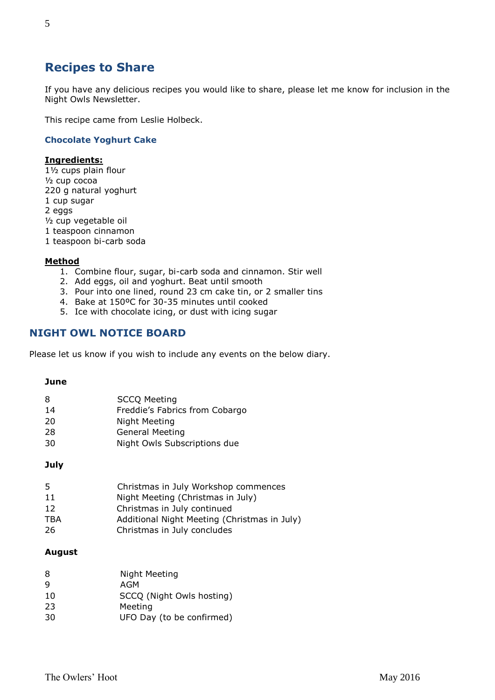# **Recipes to Share**

If you have any delicious recipes you would like to share, please let me know for inclusion in the Night Owls Newsletter.

This recipe came from Leslie Holbeck.

#### **Chocolate Yoghurt Cake**

#### **Ingredients:**

1½ cups plain flour ½ cup cocoa 220 g natural yoghurt 1 cup sugar 2 eggs ½ cup vegetable oil 1 teaspoon cinnamon 1 teaspoon bi-carb soda

#### **Method**

- 1. Combine flour, sugar, bi-carb soda and cinnamon. Stir well
- 2. Add eggs, oil and yoghurt. Beat until smooth
- 3. Pour into one lined, round 23 cm cake tin, or 2 smaller tins
- 4. Bake at 150ºC for 30-35 minutes until cooked
- 5. Ice with chocolate icing, or dust with icing sugar

# **NIGHT OWL NOTICE BOARD**

Please let us know if you wish to include any events on the below diary.

#### **June**

| 8  | <b>SCCQ Meeting</b>            |
|----|--------------------------------|
| 14 | Freddie's Fabrics from Cobargo |
| 20 | Night Meeting                  |
| 28 | <b>General Meeting</b>         |
| 30 | Night Owls Subscriptions due   |

#### **July**

| 5.  | Christmas in July Workshop commences         |
|-----|----------------------------------------------|
| 11  | Night Meeting (Christmas in July)            |
| 12  | Christmas in July continued                  |
| TBA | Additional Night Meeting (Christmas in July) |
| 26  | Christmas in July concludes                  |

#### **August**

| 8  | Night Meeting             |
|----|---------------------------|
| 9  | AGM                       |
| 10 | SCCQ (Night Owls hosting) |
| 23 | Meeting                   |
| 30 | UFO Day (to be confirmed) |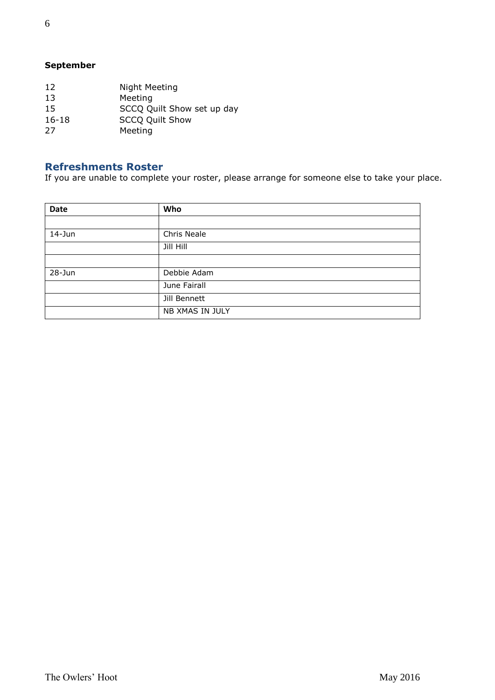# **September**

| 12        | Night Meeting              |
|-----------|----------------------------|
| 13        | Meeting                    |
| 15        | SCCQ Quilt Show set up day |
| $16 - 18$ | <b>SCCQ Quilt Show</b>     |
| 27        | Meeting                    |
|           |                            |

# **Refreshments Roster**

If you are unable to complete your roster, please arrange for someone else to take your place.

| Date       | Who             |
|------------|-----------------|
|            |                 |
| $14 - Jun$ | Chris Neale     |
|            | Jill Hill       |
|            |                 |
| 28-Jun     | Debbie Adam     |
|            | June Fairall    |
|            | Jill Bennett    |
|            | NB XMAS IN JULY |